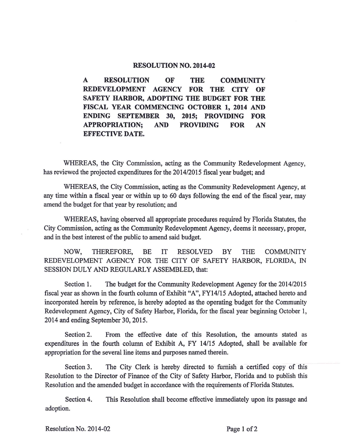## **RESOLUTION NO. 2014-02**

**A RESOLUTION OF THE COMMUNITY REDEVELOPMENT AGENCY FOR THE CITY OF SAFETY HARBOR, ADOPTING THE BUDGET FOR THE FISCAL YEAR COMMENCING OCTOBER 1, 2014 AND ENDING SEPTEMBER 30, 2015; PROVIDING FOR APPROPRIATION; AND PROVIDING FOR AN EFFECTIVE DATE.** 

WHEREAS, the City Commission, acting as the Community Redevelopment Agency, has reviewed the projected expenditures for the 2014/2015 fiscal year budget; and

WHEREAS, the City Commission, acting as the Community Redevelopment Agency, at any time within a fiscal year or within up to 60 days following the end of the fiscal year, may amend the budget for that year by resolution; and

WHEREAS, having observed all appropriate procedures required by Florida Statutes, the City Commission, acting as the Community Redevelopment Agency, deems it necessary, proper, and in the best interest of the public to amend said budget.

NOW, THEREFORE, BE IT RESOLVED BY THE COMMUNITY REDEVELOPMENT AGENCY FOR THE CITY OF SAFETY HARBOR, FLORIDA, IN SESSION DULY AND REGULARLY ASSEMBLED, that:

Section 1. The budget for the Community Redevelopment Agency for the 2014/2015 fiscal year as shown in the fourth column of Exhibit "A", FY14/15 Adopted, attached hereto and incorporated herein by reference, is hereby adopted as the operating budget for the Community Redevelopment Agency, City of Safety Harbor, Florida, for the fiscal year beginning October 1, 2014 and ending September 30, 2015.

Section 2. From the effective date of this Resolution, the amounts stated as expenditures in the fourth column of Exhibit A, FY 14/15 Adopted, shall be available for appropriation for the several line items and purposes named therein.

Section 3. The City Clerk is hereby directed to furnish a certified copy of this Resolution to the Director of Finance of the City of Safety Harbor, Florida and to publish this Resolution and the amended budget in accordance with the requirements of Florida Statutes.

Section 4. This Resolution shall become effective immediately upon its passage and adoption.

Resolution No. 2014-02 Page 1 of 2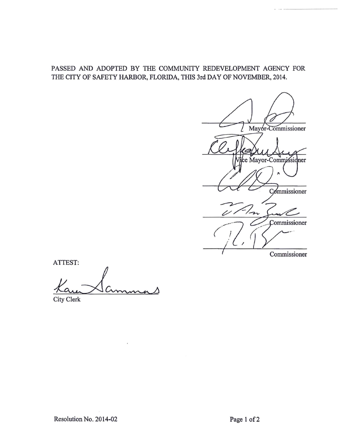## PASSED AND ADOPTED BY THE COMMUNITY REDEVELOPMENT AGENCY FOR THE CITY OF SAFETY HARBOR, FLORIDA, THIS 3rd DAY OF NOVEMBER, 2014.

Mayor-Commissioner e Mayor-Commissidner Commissioner ひ Commissioner Commissioner

ATTEST:

City Clerk